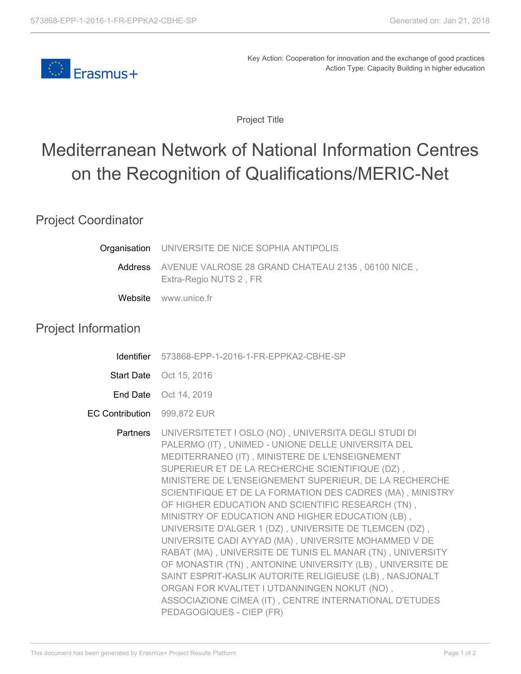

Key Action: Cooperation for innovation and the exchange of good practices Action Type: Capacity Building in higher education

Project Title

## Mediterranean Network of National Information Centres on the Recognition of Qualifications/MERIC-Net

## Project Coordinator

|                            | Organisation UNIVERSITE DE NICE SOPHIA ANTIPOLIS                                                                                                                                                                                                                                                                                                                                                                                                                                                                                                                                                                                                                                                                                                                                                                                                                                             |
|----------------------------|----------------------------------------------------------------------------------------------------------------------------------------------------------------------------------------------------------------------------------------------------------------------------------------------------------------------------------------------------------------------------------------------------------------------------------------------------------------------------------------------------------------------------------------------------------------------------------------------------------------------------------------------------------------------------------------------------------------------------------------------------------------------------------------------------------------------------------------------------------------------------------------------|
| Address                    | AVENUE VALROSE 28 GRAND CHATEAU 2135, 06100 NICE,<br>Extra-Regio NUTS 2, FR                                                                                                                                                                                                                                                                                                                                                                                                                                                                                                                                                                                                                                                                                                                                                                                                                  |
|                            | Website www.unice.fr                                                                                                                                                                                                                                                                                                                                                                                                                                                                                                                                                                                                                                                                                                                                                                                                                                                                         |
| <b>Project Information</b> |                                                                                                                                                                                                                                                                                                                                                                                                                                                                                                                                                                                                                                                                                                                                                                                                                                                                                              |
| <b>Identifier</b>          | 573868-EPP-1-2016-1-FR-EPPKA2-CBHE-SP                                                                                                                                                                                                                                                                                                                                                                                                                                                                                                                                                                                                                                                                                                                                                                                                                                                        |
| <b>Start Date</b>          | Oct 15, 2016                                                                                                                                                                                                                                                                                                                                                                                                                                                                                                                                                                                                                                                                                                                                                                                                                                                                                 |
| End Date                   | Oct 14, 2019                                                                                                                                                                                                                                                                                                                                                                                                                                                                                                                                                                                                                                                                                                                                                                                                                                                                                 |
| <b>EC Contribution</b>     | 999,872 EUR                                                                                                                                                                                                                                                                                                                                                                                                                                                                                                                                                                                                                                                                                                                                                                                                                                                                                  |
| Partners                   | UNIVERSITETET I OSLO (NO), UNIVERSITA DEGLI STUDI DI<br>PALERMO (IT), UNIMED - UNIONE DELLE UNIVERSITA DEL<br>MEDITERRANEO (IT), MINISTERE DE L'ENSEIGNEMENT<br>SUPERIEUR ET DE LA RECHERCHE SCIENTIFIQUE (DZ),<br>MINISTERE DE L'ENSEIGNEMENT SUPERIEUR, DE LA RECHERCHE<br>SCIENTIFIQUE ET DE LA FORMATION DES CADRES (MA), MINISTRY<br>OF HIGHER EDUCATION AND SCIENTIFIC RESEARCH (TN),<br>MINISTRY OF EDUCATION AND HIGHER EDUCATION (LB),<br>UNIVERSITE D'ALGER 1 (DZ), UNIVERSITE DE TLEMCEN (DZ),<br>UNIVERSITE CADI AYYAD (MA), UNIVERSITE MOHAMMED V DE<br>RABAT (MA), UNIVERSITE DE TUNIS EL MANAR (TN), UNIVERSITY<br>OF MONASTIR (TN), ANTONINE UNIVERSITY (LB), UNIVERSITE DE<br>SAINT ESPRIT-KASLIK AUTORITE RELIGIEUSE (LB), NASJONALT<br>ORGAN FOR KVALITET I UTDANNINGEN NOKUT (NO),<br>ASSOCIAZIONE CIMEA (IT), CENTRE INTERNATIONAL D'ETUDES<br>PEDAGOGIQUES - CIEP (FR) |